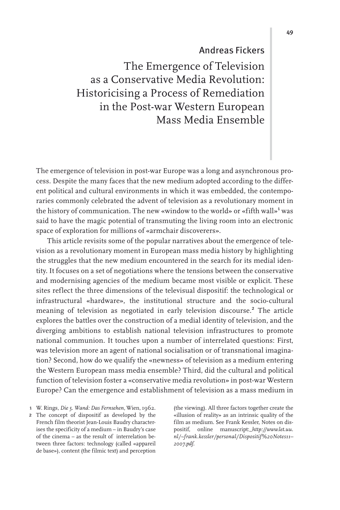# Andreas Fickers

The Emergence of Television as a Conservative Media Revolution: Historicising a Process of Remediation in the Post-war Western European Mass Media Ensemble

The emergence of television in post-war Europe was a long and asynchronous process. Despite the many faces that the new medium adopted according to the different political and cultural environments in which it was embedded, the contemporaries commonly celebrated the advent of television as a revolutionary moment in the history of communication. The new «window to the world» or «fifth wall»<sup>1</sup> was said to have the magic potential of transmuting the living room into an electronic space of exploration for millions of «armchair discoverers».

This article revisits some of the popular narratives about the emergence of television as a revolutionary moment in European mass media history by highlighting the struggles that the new medium encountered in the search for its medial identity. It focuses on a set of negotiations where the tensions between the conservative and modernising agencies of the medium became most visible or explicit. These sites reflect the three dimensions of the televisual dispositif: the technological or infrastructural «hardware», the institutional structure and the socio-cultural meaning of television as negotiated in early television discourse.<sup>2</sup> The article explores the battles over the construction of a medial identity of television, and the diverging ambitions to establish national television infrastructures to promote national communion. It touches upon a number of interrelated questions: First, was television more an agent of national socialisation or of transnational imagination? Second, how do we qualify the «newness» of television as a medium entering the Western European mass media ensemble? Third, did the cultural and political function of television foster a «conservative media revolution» in post-war Western Europe? Can the emergence and establishment of television as a mass medium in

1 W. Rings, *Die 5. Wand: Das Fernsehen*, Wien, 1962.

2 The concept of dispositif as developed by the French film theorist Jean-Louis Baudry characterises the specificity of a medium – in Baudry's case of the cinema – as the result of interrelation between three factors: technology (called «appareil de base»), content (the filmic text) and perception (the viewing). All three factors together create the «illusion of reality» as an intrinsic quality of the film as medium. See Frank Kessler, Notes on dispositif, online manuscript:\_*http://www.let.uu. nl/~frank.kessler/personal/Dispositif %20Notes11– 2007.pdf*.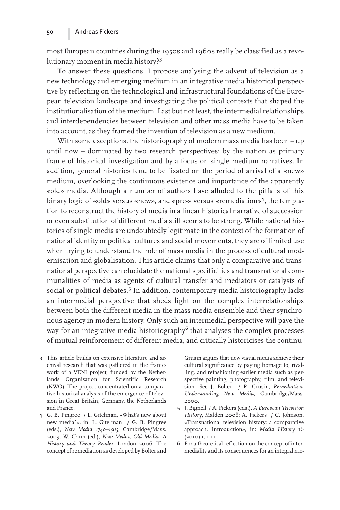most European countries during the 1950s and 1960s really be classified as a revolutionary moment in media history?<sup>3</sup>

To answer these questions, I propose analysing the advent of television as a new technology and emerging medium in an integrative media historical perspective by reflecting on the technological and infrastructural foundations of the European television landscape and investigating the political contexts that shaped the institutionalisation of the medium. Last but not least, the intermedial relationships and interdependencies between television and other mass media have to be taken into account, as they framed the invention of television as a new medium.

With some exceptions, the historiography of modern mass media has been – up until now – dominated by two research perspectives: by the nation as primary frame of historical investigation and by a focus on single medium narratives. In addition, general histories tend to be fixated on the period of arrival of a «new» medium, overlooking the continuous existence and importance of the apparently «old» media. Although a number of authors have alluded to the pitfalls of this binary logic of «old» versus «new», and «pre-» versus «remediation»<sup>4</sup> , the temptation to reconstruct the history of media in a linear historical narrative of succession or even substitution of different media still seems to be strong. While national histories of single media are undoubtedly legitimate in the context of the formation of national identity or political cultures and social movements, they are of limited use when trying to understand the role of mass media in the process of cultural modernisation and globalisation. This article claims that only a comparative and transnational perspective can elucidate the national specificities and transnational communalities of media as agents of cultural transfer and mediators or catalysts of social or political debates.<sup>5</sup> In addition, contemporary media historiography lacks an intermedial perspective that sheds light on the complex interrelationships between both the different media in the mass media ensemble and their synchronous agency in modern history. Only such an intermedial perspective will pave the way for an integrative media historiography<sup>6</sup> that analyses the complex processes of mutual reinforcement of different media, and critically historicises the continu-

- 3 This article builds on extensive literature and archival research that was gathered in the framework of a VENI project, funded by the Netherlands Organisation for Scientific Research (NWO). The project concentrated on a comparative historical analysis of the emergence of television in Great Britain, Germany, the Netherlands and France.
- 4 G. B. Pingree / L. Gitelman, «What's new about new media?», in: L. Gitelman / G. B. Pingree (eds.), *New Media 1740–1915*, Cambridge/Mass. 2003; W. Chun (ed.), *New Media, Old Media. A History and Theory Reader*, London 2006. The concept of remediation as developed by Bolter and

Grusin argues that new visual media achieve their cultural significance by paying homage to, rivalling, and refashioning earlier media such as perspective painting, photography, film, and television. See J. Bolter / R. Grusin, *Remediation. Understanding New Media*, Cambridge/Mass. 2000.

- 5 J. Bignell / A. Fickers (eds.), *A European Television History*, Malden 2008; A. Fickers / C. Johnson, «Transnational television history: a comparative approach. Introduction», in: *Media History* 16 (2010) 1, 1–11.
- 6 For a theoretical reflection on the concept of intermediality and its consequences for an integral me-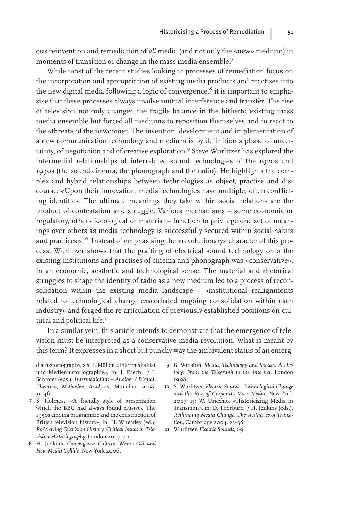ous reinvention and remediation of *all* media (and not only the «new» medium) in moments of transition or change in the mass media ensemble.<sup>7</sup>

While most of the recent studies looking at processes of remediation focus on the incorporation and appropriation of existing media products and practises into the new digital media following a logic of convergence, $\delta$  it is important to emphasise that these processes always involve mutual interference and transfer. The rise of television not only changed the fragile balance in the hitherto existing mass media ensemble but forced all mediums to reposition themselves and to react to the «threat» of the newcomer. The invention, development and implementation of a new communication technology and medium is by definition a phase of uncertainty, of negotiation and of creative exploration.<sup>9</sup> Steve Wurlitzer has explored the intermedial relationships of interrelated sound technologies of the 1920s and 1930s (the sound cinema, the phonograph and the radio). He highlights the complex and hybrid relationships between technologies as object, practise and discourse: «Upon their innovation, media technologies have multiple, often conflicting identities. The ultimate meanings they take within social relations are the product of contestation and struggle. Various mechanisms – some economic or regulatory, others ideological or material – function to privilege one set of meanings over others as media technology is successfully secured within social habits and practices».10 Instead of emphasising the «revolutionary» character of this process, Wurlitzer shows that the grafting of electrical sound technology onto the existing institutions and practises of cinema and phonograph was «conservative», in an economic, aesthetic and technological sense. The material and rhetorical struggles to shape the identity of radio as a new medium led to a process of reconsolidation within the existing media landscape – «institutional realignments related to technological change exacerbated ongoing consolidation within each industry» and forged the re-articulation of previously established positions on cultural and political life.<sup>11</sup>

In a similar vein, this article intends to demonstrate that the emergence of television must be interpreted as a conservative media revolution. What is meant by this term? It expresses in a short but punchy way the ambivalent status of an emerg-

dia historiography, see J. Müller, «Intermedialität und Medienhistoriographie», in: J. Paech / J. Schröter (eds.), *Intermedialität – Analog / Digital. Theorien, Methoden, Analysen*, München 2008, 31–46.

- 7 S. Holmes, «‹A friendly style of presentation which the BBC had always found elusive›. The 1950s cinema programme and the construction of British television history», in: H. Wheatley (ed.), *Re-Viewing Television History. Critical Issues in Television Historiography*, London 2007, 70.
- 8 H. Jenkins, *Convergence Culture. Where Old and New Media Collide*, New York 2006.
- 9 B. Winston, *Media, Technology and Society. A History: From the Telegraph to the Internet*, London 1998.
- 10 S. Wurlitzer, *Electric Sounds. Technological Change and the Rise of Corporate Mass Media*, New York 2007, 15; W. Uricchio, «Historicizing Media in Transition», in: D. Thorburn / H. Jenkins (eds.), *Rethinking Media Change. The Aesthetics of Transition*, Cambridge 2004, 23–38.
- 11 Wurlitzer, *Electric Sounds,* 69.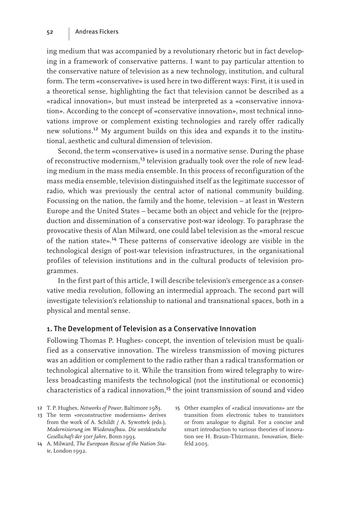ing medium that was accompanied by a revolutionary rhetoric but in fact developing in a framework of conservative patterns. I want to pay particular attention to the conservative nature of television as a new technology, institution, and cultural form. The term «conservative» is used here in two different ways: First, it is used in a theoretical sense, highlighting the fact that television cannot be described as a «radical innovation», but must instead be interpreted as a «conservative innovation». According to the concept of «conservative innovation», most technical innovations improve or complement existing technologies and rarely offer radically new solutions.12 My argument builds on this idea and expands it to the institutional, aesthetic and cultural dimension of television.

Second, the term «conservative» is used in a normative sense. During the phase of reconstructive modernism,<sup>13</sup> television gradually took over the role of new leading medium in the mass media ensemble. In this process of reconfiguration of the mass media ensemble, television distinguished itself as the legitimate successor of radio, which was previously the central actor of national community building. Focussing on the nation, the family and the home, television – at least in Western Europe and the United States – became both an object and vehicle for the (re)production and dissemination of a conservative post-war ideology. To paraphrase the provocative thesis of Alan Milward, one could label television as the «moral rescue of the nation state».14 These patterns of conservative ideology are visible in the technological design of post-war television infrastructures, in the organisational profiles of television institutions and in the cultural products of television programmes.

In the first part of this article, I will describe television's emergence as a conservative media revolution, following an intermedial approach. The second part will investigate television's relationship to national and transnational spaces, both in a physical and mental sense.

#### 1. The Development of Television as a Conservative Innovation

Following Thomas P. Hughes› concept, the invention of television must be qualified as a conservative innovation. The wireless transmission of moving pictures was an addition or complement to the radio rather than a radical transformation or technological alternative to it. While the transition from wired telegraphy to wireless broadcasting manifests the technological (not the institutional or economic) characteristics of a radical innovation,<sup>15</sup> the joint transmission of sound and video

12 T. P. Hughes, *Networks of Power*, Baltimore 1983.

13 The term «reconstructive modernism» derives from the work of A. Schildt / A. Sywottek (eds.), *Modernisierung im Wiederaufbau. Die westdeutsche Gesellschaft der 50er Jahre*, Bonn 1993.

15 Other examples of «radical innovations» are the transition from electronic tubes to transistors or from analogue to digital. For a concise and smart introduction to various theories of innovation see H. Braun–Thürmann, *Innovation*, Bielefeld 2005.

<sup>14</sup> A. Milward, *The European Rescue of the Nation State*, London 1992.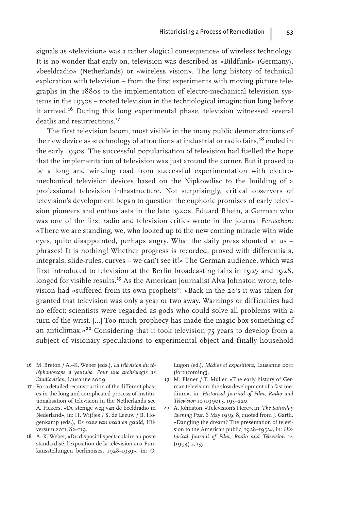signals as «television» was a rather «logical consequence» of wireless technology. It is no wonder that early on, television was described as «Bildfunk» (Germany), «beeldradio» (Netherlands) or «wireless vision». The long history of technical exploration with television – from the first experiments with moving picture telegraphs in the 1880s to the implementation of electro-mechanical television systems in the 1930s – rooted television in the technological imagination long before it arrived.16 During this long experimental phase, television witnessed several deaths and resurrections.<sup>17</sup>

The first television boom, most visible in the many public demonstrations of the new device as «technology of attraction» at industrial or radio fairs,<sup>18</sup> ended in the early 1930s. The successful popularisation of television had fuelled the hope that the implementation of television was just around the corner. But it proved to be a long and winding road from successful experimentation with electromechanical television devices based on the Nipkowdisc to the building of a professional television infrastructure. Not surprisingly, critical observers of television's development began to question the euphoric promises of early television pioneers and enthusiasts in the late 1920s. Eduard Rhein, a German who was one of the first radio and television critics wrote in the journal *Fernsehen*: «There we are standing, we, who looked up to the new coming miracle with wide eyes, quite disappointed, perhaps angry. What the daily press shouted at us – phrases! It is nothing! Whether progress is recorded, proved with differentials, integrals, slide-rules, curves – we can't see it!» The German audience, which was first introduced to television at the Berlin broadcasting fairs in 1927 and 1928, longed for visible results.<sup>19</sup> As the American journalist Alva Johnston wrote, television had «suffered from its own prophets": «Back in the 20's it was taken for granted that television was only a year or two away. Warnings or difficulties had no effect; scientists were regarded as gods who could solve all problems with a turn of the wrist. […] Too much prophecy has made the magic box something of an anticlimax.»<sup>20</sup> Considering that it took television 75 years to develop from a subject of visionary speculations to experimental object and finally household

- 16 M. Breton / A.–K. Weber (eds.), *La télévision du téléphonoscope à youtube. Pour une archéologie de l'audiovision*, Lausanne 2009.
- 17 For a detailed reconstruction of the different phases in the long and complicated process of institutionalisation of television in the Netherlands see A. Fickers, «De stenige weg van de beeldradio in Nederland», in: H. Wijfjes / S. de Leeuw / B. Hogenkamp (eds.), *De eeuw van beeld en geluid*, Hilversum 2011, 82–119.
- 18 A.-K. Weber, «Du dispositif spectaculaire au poste standardisé: l'exposition de la télévision aux Funkausstellungen berlinoises, 1928–1939», in: O.

Lugon (ed.), *Médias et expositions*, Lausanne 2011 (forthcoming).

- 19 M. Elsner / T. Müller, «The early history of German television: the slow development of a fast medium», in: *Historical Journal of Film, Radio and Television* 10 (1990) 3, 193–220.
- 20 A. Johnston, «Television's Here», in: *The Saturday Evening Post*, 6 May 1939, 8, quoted from J. Garth, «Dangling the dream? The presentation of television to the American public, 1928–1952», in: *Historical Journal of Film, Radio and Television* 14 (1994) 2, 137.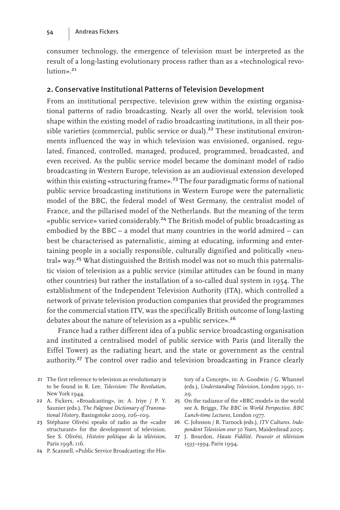consumer technology, the emergence of television must be interpreted as the result of a long-lasting evolutionary process rather than as a «technological revo $lution<sub>9</sub>$ <sup>21</sup>

### 2. Conservative Institutional Patterns of Television Development

From an institutional perspective, television grew within the existing organisational patterns of radio broadcasting. Nearly all over the world, television took shape within the existing model of radio broadcasting institutions, in all their possible varieties (commercial, public service or dual).<sup>22</sup> These institutional environments influenced the way in which television was envisioned, organised, regulated, financed, controlled, managed, produced, programmed, broadcasted, and even received. As the public service model became the dominant model of radio broadcasting in Western Europe, television as an audiovisual extension developed within this existing «structuring frame».<sup>23</sup> The four paradigmatic forms of national public service broadcasting institutions in Western Europe were the paternalistic model of the BBC, the federal model of West Germany, the centralist model of France, and the pillarised model of the Netherlands. But the meaning of the term «public service» varied considerably.24 The British model of public broadcasting as embodied by the BBC – a model that many countries in the world admired – can best be characterised as paternalistic, aiming at educating, informing and entertaining people in a socially responsible, culturally dignified and politically «neutral» way.<sup>25</sup> What distinguished the British model was not so much this paternalistic vision of television as a public service (similar attitudes can be found in many other countries) but rather the installation of a so-called dual system in 1954. The establishment of the Independent Television Authority (ITA), which controlled a network of private television production companies that provided the programmes for the commercial station ITV, was the specifically British outcome of long-lasting debates about the nature of television as a «public service».<sup>26</sup>

France had a rather different idea of a public service broadcasting organisation and instituted a centralised model of public service with Paris (and literally the Eiffel Tower) as the radiating heart, and the state or government as the central authority.<sup>27</sup> The control over radio and television broadcasting in France clearly

- 21 The first reference to television as revolutionary is to be found in R. Lee, *Television: The Revolution*, New York 1944.
- 22 A. Fickers, «Broadcasting», in: A. Iriye / P. Y. Saunier (eds.), *The Palgrave Dictionary of Transnational History*, Basingstoke 2009, 106–109.
- 23 Stéphane Olivési speaks of radio as the «cadre structurant» for the development of television. See S. Olivési, *Histoire politique de la télévision*, Paris 1998, 116.
- 24 P. Scannell, «Public Service Broadcasting: the His-

tory of a Concept», in: A. Goodwin / G. Whannel (eds.), *Understanding Television*, London 1990, 11– 29.

- 25 On the radiance of the «BBC model» in the world see A. Briggs, *The BBC in World Perspective*. *BBC Lunch-time Lectures*, London 1977.
- 26 C. Johnson / R. Turnock (eds.), *ITV Cultures. Independent Television over 50 Years*, Maidenhead 2005.
- 27 J. Bourdon, *Haute Fidélité. Pouvoir et télévision 1935–1994*, Paris 1994.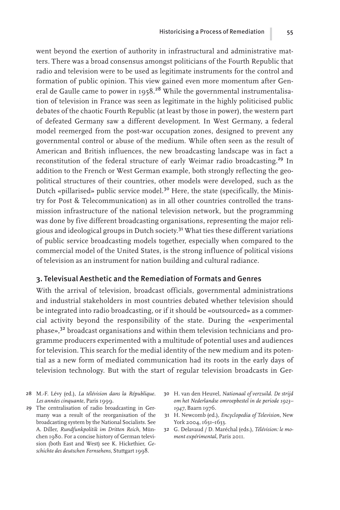went beyond the exertion of authority in infrastructural and administrative matters. There was a broad consensus amongst politicians of the Fourth Republic that radio and television were to be used as legitimate instruments for the control and formation of public opinion. This view gained even more momentum after General de Gaulle came to power in  $1958.<sup>28</sup>$  While the governmental instrumentalisation of television in France was seen as legitimate in the highly politicised public debates of the chaotic Fourth Republic (at least by those in power), the western part of defeated Germany saw a different development. In West Germany, a federal model reemerged from the post-war occupation zones, designed to prevent any governmental control or abuse of the medium. While often seen as the result of American and British influences, the new broadcasting landscape was in fact a reconstitution of the federal structure of early Weimar radio broadcasting.<sup>29</sup> In addition to the French or West German example, both strongly reflecting the geopolitical structures of their countries, other models were developed, such as the Dutch «pillarised» public service model.<sup>30</sup> Here, the state (specifically, the Ministry for Post & Telecommunication) as in all other countries controlled the transmission infrastructure of the national television network, but the programming was done by five different broadcasting organisations, representing the major religious and ideological groups in Dutch society.<sup>31</sup> What ties these different variations of public service broadcasting models together, especially when compared to the commercial model of the United States, is the strong influence of political visions of television as an instrument for nation building and cultural radiance.

#### 3. Televisual Aesthetic and the Remediation of Formats and Genres

With the arrival of television, broadcast officials, governmental administrations and industrial stakeholders in most countries debated whether television should be integrated into radio broadcasting, or if it should be «outsourced» as a commercial activity beyond the responsibility of the state. During the «experimental phase»,<sup>32</sup> broadcast organisations and within them television technicians and programme producers experimented with a multitude of potential uses and audiences for television. This search for the medial identity of the new medium and its potential as a new form of mediated communication had its roots in the early days of television technology. But with the start of regular television broadcasts in Ger-

- 28 M.-F. Lévy (ed.), *La télévision dans la République. Les années cinquante*, Paris 1999.
- 29 The centralisation of radio broadcasting in Germany was a result of the reorganisation of the broadcasting system by the National Socialists. See A. Diller, *Rundfunkpolitik im Dritten Reich*, München 1980. For a concise history of German television (both East and West) see K. Hickethier, *Geschichte des deutschen Fernsehens*, Stuttgart 1998.
- 30 H. van den Heuvel, *Nationaal of verzuild. De strijd om het Nederlandse omroepbestel in de periode 1923– 1947*, Baarn 1976.
- 31 H. Newcomb (ed.), *Encyclopedia of Television*, New York 2004, 1631-1633.
- 32 G. Delavaud / D. Maréchal (eds.), *Télévision: le moment expérimental*, Paris 2011.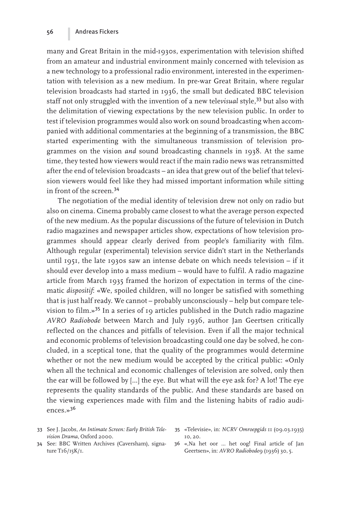many and Great Britain in the mid-1930s, experimentation with television shifted from an amateur and industrial environment mainly concerned with television as a new technology to a professional radio environment, interested in the experimentation with television as a new medium. In pre-war Great Britain, where regular television broadcasts had started in 1936, the small but dedicated BBC television staff not only struggled with the invention of a new televisual style,<sup>33</sup> but also with the delimitation of viewing expectations by the new television public. In order to test if television programmes would also work on sound broadcasting when accompanied with additional commentaries at the beginning of a transmission, the BBC started experimenting with the simultaneous transmission of television programmes on the vision *and* sound broadcasting channels in 1938. At the same time, they tested how viewers would react if the main radio news was retransmitted after the end of television broadcasts – an idea that grew out of the belief that television viewers would feel like they had missed important information while sitting in front of the screen.<sup>34</sup>

The negotiation of the medial identity of television drew not only on radio but also on cinema. Cinema probably came closest to what the average person expected of the new medium. As the popular discussions of the future of television in Dutch radio magazines and newspaper articles show, expectations of how television programmes should appear clearly derived from people's familiarity with film. Although regular (experimental) television service didn't start in the Netherlands until 1951, the late 1930s saw an intense debate on which needs television  $-$  if it should ever develop into a mass medium – would have to fulfil. A radio magazine article from March 1935 framed the horizon of expectation in terms of the cinematic *dispositif*: «We, spoiled children, will no longer be satisfied with something that is just half ready. We cannot – probably unconsciously – help but compare television to film.»35 In a series of 19 articles published in the Dutch radio magazine *AVRO Radiobode* between March and July 1936, author Jan Geertsen critically reflected on the chances and pitfalls of television. Even if all the major technical and economic problems of television broadcasting could one day be solved, he concluded, in a sceptical tone, that the quality of the programmes would determine whether or not the new medium would be accepted by the critical public: «Only when all the technical and economic challenges of television are solved, only then the ear will be followed by […] the eye. But what will the eye ask for? A lot! The eye represents the quality standards of the public. And these standards are based on the viewing experiences made with film and the listening habits of radio audiences.»<sup>36</sup>

- 33 See J. Jacobs, *An Intimate Screen: Early British Television Drama*, Oxford 2000.
- 34 See: BBC Written Archives (Caversham), signature T16/15K/1.
- 35 «Televisie», in: *NCRV Omroepgids* 11 (09.03.1935) 10, 20.
- 36 «,Na het oor ... het oog! Final article of Jan Geertsen», in: *AVRO Radiobode*9 (1936) 30, 5.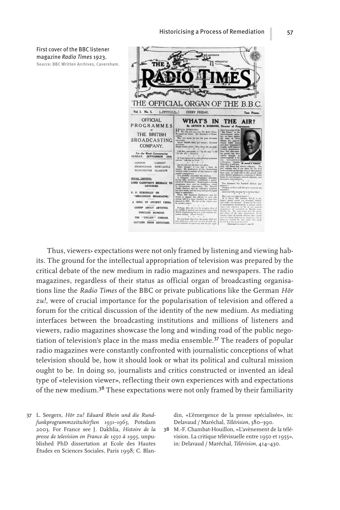

Thus, viewers› expectations were not only framed by listening and viewing habits. The ground for the intellectual appropriation of television was prepared by the critical debate of the new medium in radio magazines and newspapers. The radio magazines, regardless of their status as official organ of broadcasting organisations line the *Radio Times* of the BBC or private publications like the German *Hör zu!*, were of crucial importance for the popularisation of television and offered a forum for the critical discussion of the identity of the new medium. As mediating interfaces between the broadcasting institutions and millions of listeners and viewers, radio magazines showcase the long and winding road of the public negotiation of television's place in the mass media ensemble.<sup>37</sup> The readers of popular radio magazines were constantly confronted with journalistic conceptions of what television should be, how it should look or what its political and cultural mission ought to be. In doing so, journalists and critics constructed or invented an ideal type of «television viewer», reflecting their own experiences with and expectations of the new medium.<sup>38</sup> These expectations were not only framed by their familiarity

37 L. Seegers, *Hör zu! Eduard Rhein und die Rundfunkprogrammzeitschirften 1931–1965*, Potsdam 2003. For France see J. Dakhlia, *Histoire de la presse de television en France de 1950 à 1995*, unpublished PhD dissertation at Ecole des Hautes Études en Sciences Sociales, Paris 1998; C. Blandin, «L'émergence de la presse spécialisée», in: Delavaud / Maréchal, *Télévision*, 380–390.

38 M.-F. Chambat-Houillon, «L'avènement de la télévision. La critique télévisuelle entre 1950 et 1955», in: Delavaud / Maréchal, *Télévision*, 414–430.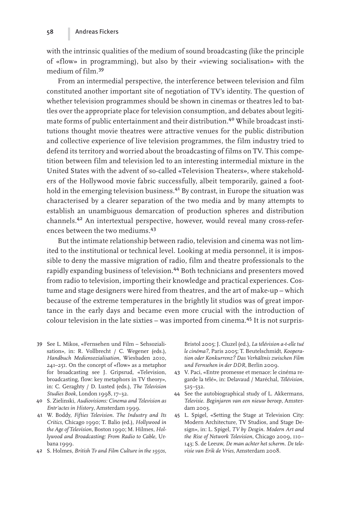with the intrinsic qualities of the medium of sound broadcasting (like the principle of «flow» in programming), but also by their «viewing socialisation» with the medium of film.<sup>39</sup>

From an intermedial perspective, the interference between television and film constituted another important site of negotiation of TV's identity. The question of whether television programmes should be shown in cinemas or theatres led to battles over the appropriate place for television consumption, and debates about legitimate forms of public entertainment and their distribution.40 While broadcast institutions thought movie theatres were attractive venues for the public distribution and collective experience of live television programmes, the film industry tried to defend its territory and worried about the broadcasting of films on TV. This competition between film and television led to an interesting intermedial mixture in the United States with the advent of so-called «Television Theaters», where stakeholders of the Hollywood movie fabric successfully, albeit temporarily, gained a foothold in the emerging television business.<sup>41</sup> By contrast, in Europe the situation was characterised by a clearer separation of the two media and by many attempts to establish an unambiguous demarcation of production spheres and distribution channels.42 An intertextual perspective, however, would reveal many cross-references between the two mediums.<sup>43</sup>

But the intimate relationship between radio, television and cinema was not limited to the institutional or technical level. Looking at media personnel, it is impossible to deny the massive migration of radio, film and theatre professionals to the rapidly expanding business of television.<sup>44</sup> Both technicians and presenters moved from radio to television, importing their knowledge and practical experiences. Costume and stage designers were hired from theatres, and the art of make-up – which because of the extreme temperatures in the brightly lit studios was of great importance in the early days and became even more crucial with the introduction of colour television in the late sixties – was imported from cinema.<sup>45</sup> It is not surpris-

- 39 See L. Mikos, «Fernsehen und Film Sehsozialisation», in: R. Vollbrecht / C. Wegener (eds.), *Handbuch Mediensozialisation*, Wiesbaden 2010, 241–251. On the concept of «flow» as a metaphor for broadcasting see J. Gripsrud, «Television, broadcasting, flow: key metaphors in TV theory», in: C. Geraghty / D. Lusted (eds.), *The Television Studies Book*, London 1998, 17–32.
- 40 S. Zielinski, *Audiovisions: Cinema and Television as Entr'actes in History*, Amsterdam 1999.
- 41 W. Boddy, *Fifties Television. The Industry and Its Critics*, Chicago 1990; T. Balio (ed.), *Hollywood in the Age of Television*, Boston 1990; M. Hilmes, *Hollywood and Broadcasting: From Radio to Cable*, Urbana 1999.
- 42 S. Holmes, *British Tv and Film Culture in the 1950s*,

Bristol 2005; J. Cluzel (ed.), *La télévision a-t-elle tué le cinéma?*, Paris 2005; T. Beutelschmidt, *Kooperation oder Konkurrenz? Das Verhältnis zwischen Film und Fernsehen in der DDR*, Berlin 2009.

- 43 V. Paci, «Entre promesse et menace: le cinéma regarde la télé», in: Delavaud / Maréchal, *Télévision*, 525–532.
- 44 See the autobiographical study of L. Akkermans, *Televisie. Beginjaren van een nieuw beroep*, Amsterdam 2003.
- 45 L. Spigel, «Setting the Stage at Television City: Modern Architecture, TV Studios, and Stage Design», in: L. Spigel, *TV by Desgin. Modern Art and the Rise of Network Television*, Chicago 2009, 110– 143; S. de Leeuw, *De man achter het scherm. De televisie van Erik de Vries*, Amsterdam 2008.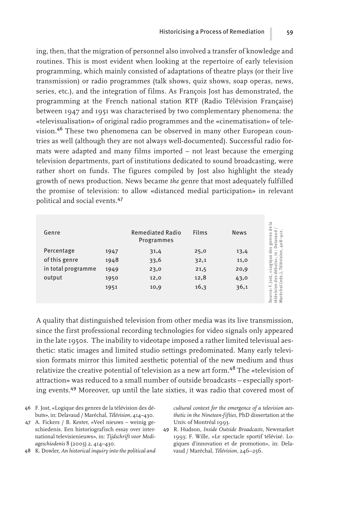ing, then, that the migration of personnel also involved a transfer of knowledge and routines. This is most evident when looking at the repertoire of early television programming, which mainly consisted of adaptations of theatre plays (or their live transmission) or radio programmes (talk shows, quiz shows, soap operas, news, series, etc.), and the integration of films. As François Jost has demonstrated, the programming at the French national station RTF (Radio Télévision Française) between 1947 and 1951 was characterised by two complementary phenomena: the «televisualisation» of original radio programmes and the «cinematisation» of television.46 These two phenomena can be observed in many other European countries as well (although they are not always well-documented). Successful radio formats were adapted and many films imported – not least because the emerging television departments, part of institutions dedicated to sound broadcasting, were rather short on funds. The figures compiled by Jost also highlight the steady growth of news production. News became *the* genre that most adequately fulfilled the promise of television: to allow «distanced medial participation» in relevant political and social events.<sup>47</sup>

| Genre              |      | <b>Remediated Radio</b><br>Programmes | <b>Films</b> | <b>News</b> | $\Xi$<br>Φ<br>G<br>genres<br>$\frac{1}{4}$<br>Ξ<br>$\overline{\mathfrak{m}}$<br>CO<br>$\circ$<br>Φ |
|--------------------|------|---------------------------------------|--------------|-------------|----------------------------------------------------------------------------------------------------|
| Percentage         | 1947 | 31,4                                  | 25,0         | 13,4        | U)<br>-e<br>등<br>$\equiv$<br>ω<br>$1 - 1$                                                          |
| of this genre      | 1948 | 33,6                                  | 32,1         | 11,0        | $\overline{5}$<br>. <sub>드</sub><br>Ğ,                                                             |
| in total programme | 1949 | 23,0                                  | 21,5         | 20,9        | bņ<br>īĕl<br>로<br>$\overline{0}$<br>÷                                                              |
| output             | 1950 | 12,0                                  | 12,8         | 43,0        | S<br>lost<br>귕<br>ω<br>ᇰ                                                                           |
|                    | 1951 | 10,9                                  | 16,3         | 36,1        | نعا<br>등<br>ä<br>Nar<br>é                                                                          |

A quality that distinguished television from other media was its live transmission, since the first professional recording technologies for video signals only appeared in the late 1950s. The inability to videotape imposed a rather limited televisual aesthetic: static images and limited studio settings predominated. Many early television formats mirror this limited aesthetic potential of the new medium and thus relativize the creative potential of television as a new art form.<sup>48</sup> The «television of attraction» was reduced to a small number of outside broadcasts – especially sporting events.<sup>49</sup> Moreover, up until the late sixties, it was radio that covered most of

46 F. Jost, «Logique des genres de la télévision des débuts», in: Delavaud / Maréchal, *Télévision*, 414–430.

47 A. Fickers / B. Kester, «Veel nieuws – weinig geschiedenis. Een historiografisch essay over international televisienieuws», in: *Tijdschrift voor Mediageschiedenis* 8 (2005) 2, 414–430.

48 K. Dowler, *An historical inquiry into the political and* 

*cultural context for the emergence of a television aesthetic in the Nineteen-fifties*, PhD dissertation at the Univ. of Montréal 1993.

49 R. Hudson, *Inside Outside Broadcasts*, Newmarket 1993; F. Wille, «Le spectacle sportif télévisé. Logiques d'innovation et de promotion», in: Delavaud / Maréchal, *Télévision*, 246–256.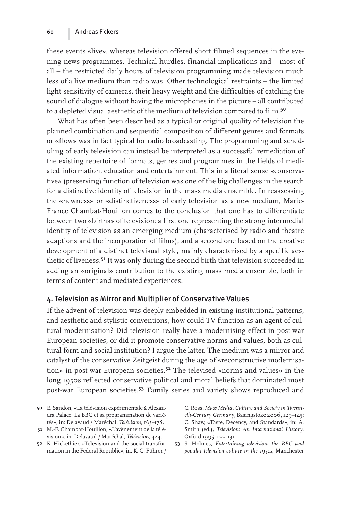these events «live», whereas television offered short filmed sequences in the evening news programmes. Technical hurdles, financial implications and – most of all – the restricted daily hours of television programming made television much less of a live medium than radio was. Other technological restraints – the limited light sensitivity of cameras, their heavy weight and the difficulties of catching the sound of dialogue without having the microphones in the picture – all contributed to a depleted visual aesthetic of the medium of television compared to film.<sup>50</sup>

What has often been described as a typical or original quality of television the planned combination and sequential composition of different genres and formats or «flow» was in fact typical for radio broadcasting. The programming and scheduling of early television can instead be interpreted as a successful remediation of the existing repertoire of formats, genres and programmes in the fields of mediated information, education and entertainment. This in a literal sense «conservative» (preserving) function of television was one of the big challenges in the search for a distinctive identity of television in the mass media ensemble. In reassessing the «newness» or «distinctiveness» of early television as a new medium, Marie-France Chambat-Houillon comes to the conclusion that one has to differentiate between two «births» of television: a first one representing the strong intermedial identity of television as an emerging medium (characterised by radio and theatre adaptions and the incorporation of films), and a second one based on the creative development of a distinct televisual style, mainly characterised by a specific aesthetic of liveness.<sup>51</sup> It was only during the second birth that television succeeded in adding an «original» contribution to the existing mass media ensemble, both in terms of content and mediated experiences.

#### 4. Television as Mirror and Multiplier of Conservative Values

If the advent of television was deeply embedded in existing institutional patterns, and aesthetic and stylistic conventions, how could TV function as an agent of cultural modernisation? Did television really have a modernising effect in post-war European societies, or did it promote conservative norms and values, both as cultural form and social institution? I argue the latter. The medium was a mirror and catalyst of the conservative Zeitgeist during the age of «reconstructive modernisation» in post-war European societies.<sup>52</sup> The televised «norms and values» in the long 1950s reflected conservative political and moral beliefs that dominated most post-war European societies.<sup>53</sup> Family series and variety shows reproduced and

C. Ross, *Mass Media, Culture and Society in Twentieth-Century Germany*, Basingstoke 2006, 129–145; C. Shaw, «Taste, Decency, and Standards», in: A. Smith (ed.), *Television: An International History*, Oxford 1995, 122–131.

53 S. Holmes, *Entertaining television: the BBC and popular television culture in the 1950s*, Manchester

<sup>50</sup> E. Sandon, «La télévision expérimentale à Alexandra Palace. La BBC et sa programmation de variétés», in: Delavaud / Maréchal, *Télévision*, 163–178.

<sup>51</sup> M.-F. Chambat-Houillon, «L'avènement de la télévision», in: Delavaud / Maréchal, *Télévision*, 424.

<sup>52</sup> K. Hickethier, «Television and the social transformation in the Federal Republic», in: K. C. Führer /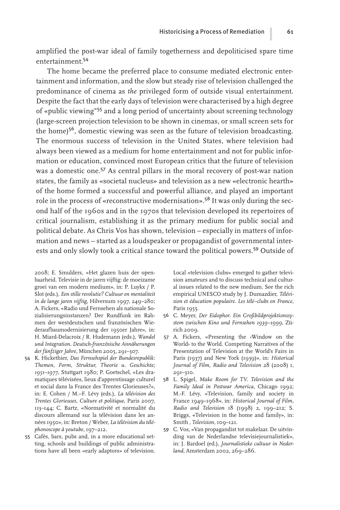amplified the post-war ideal of family togetherness and depoliticised spare time entertainment.<sup>54</sup>

The home became the preferred place to consume mediated electronic entertainment and information, and the slow but steady rise of television challenged the predominance of cinema as *the* privileged form of outside visual entertainment. Despite the fact that the early days of television were characterised by a high degree of «public viewing"55 and a long period of uncertainty about screening technology (large-screen projection television to be shown in cinemas, or small screen sets for the home)<sup>56</sup>, domestic viewing was seen as the future of television broadcasting. The enormous success of television in the United States, where television had always been viewed as a medium for home entertainment and not for public information or education, convinced most European critics that the future of television was a domestic one.<sup>57</sup> As central pillars in the moral recovery of post-war nation states, the family as «societal nucleus» and television as a new «electronic hearth» of the home formed a successful and powerful alliance, and played an important role in the process of «reconstructive modernisation».<sup>58</sup> It was only during the second half of the 1960s and in the 1970s that television developed its repertoires of critical journalism, establishing it as the primary medium for public social and political debate. As Chris Vos has shown, television – especially in matters of information and news – started as a loudspeaker or propagandist of governmental interests and only slowly took a critical stance toward the political powers.<sup>59</sup> Outside of

2008; E. Smulders, «Het glazen huis der openbaarheid. Televisie in de jaren vijftig: de moeizame groei van een modern medium», in: P. Luykx / P. Slot (eds.), *Een stille revolutie? Cultuur en mentaliteit in de lange jaren vijftig*, Hilversum 1997, 249–280; A. Fickers, «Radio und Fernsehen als nationale Sozialisierungsinstanzen? Der Rundfunk im Rahmen der westdeutschen und französischen Wiederaufbaumodernisierung der 1950er Jahre», in: H. Miard-Delacroix / R. Hudemann (eds.), *Wandel und Integration. Deutsch-französische Annäherungen der fünfziger Jahre*, München 2005, 291–307.

- 54 K. Hickethier, *Das Fernsehspiel der Bundesrepublik: Themen, Form, Struktur, Theorie u. Geschichte; 1951–1977*, Stuttgart 1980; P. Goetschel, «Les dramatiques télévisées, lieux d'apprentissage culturel et social dans la France des Trentes Glorieuses?», in: E. Cohen / M.–F. Lévy (eds.), *La télévision des Trentes Glorieuses, Culture et politique*, Paris 2007, 113–144; C. Bartz, «Normativité et normalité du discours allemand sur la télévision dans les années 1950», in: Breton / Weber, *La télévision du téléphonoscope à youtube*, 197–212.
- 55 Cafés, bars, pubs and, in a more educational setting, schools and buildings of public administrations have all been «early adaptors» of television.

Local «television clubs» emerged to gather television amateurs and to discuss technical and cultural issues related to the new medium. See the rich empirical UNESCO study by J. Dumazdier, *Télévision et éducation populaire. Les télé–clubs en France*, Paris 1955.

- 56 C. Meyer, *Der Eidophor. Ein Großbildprojektionssystem zwischen Kino und Fernsehen 1939–1999*, Zürich 2009.
- 57 A. Fickers, «Presenting the ‹Window on the World› to the World. Competing Narratives of the Presentation of Television at the World's Fairs in Paris (1937) and New York (1939)», in: *Historical Journal of Film, Radio and Television* 28 (2008) 1, 291–310.
- 58 L. Spigel, *Make Room for TV. Television and the Family Ideal in Postwar America*, Chicago 1992; M.-F. Lévy, «Television, family and society in France 1949–1968», in: *Historical Journal of Film, Radio and Television* 18 (1998) 2, 199–212; S. Briggs, «Television in the home and family», in: Smith, Television, 109-121.
- 59 C. Vos, «Van propagandist tot makelaar. De uitvinding van de Nederlandse televisiejournalistiek», in: J. Bardoel (ed.), *Journalistieke cultuur in Nederland*, Amsterdam 2002, 269–286.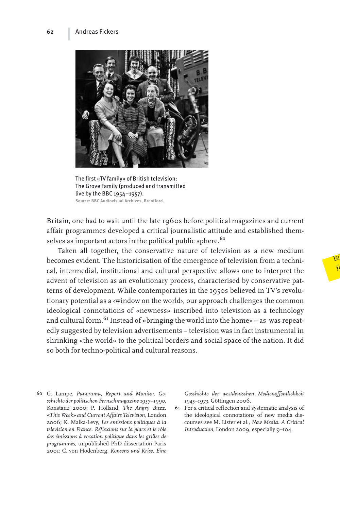

The first «TV family» of British television: The Grove Family (produced and transmitted live by the BBC 1954–1957). **Source: BBC Audiovisual Archives, Brentford.**

Britain, one had to wait until the late 1960s before political magazines and current affair programmes developed a critical journalistic attitude and established themselves as important actors in the political public sphere.<sup>60</sup>

Taken all together, the conservative nature of television as a new medium becomes evident. The historicisation of the emergence of television from a technical, intermedial, institutional and cultural perspective allows one to interpret the advent of television as an evolutionary process, characterised by conservative patterns of development. While contemporaries in the 1950s believed in TV's revolutionary potential as a ‹window on the world›, our approach challenges the common ideological connotations of «newness» inscribed into television as a technology and cultural form.<sup>61</sup> Instead of «bringing the world into the home» – as was repeatedly suggested by television advertisements – television was in fact instrumental in shrinking «the world» to the political borders and social space of the nation. It did so both for techno-political and cultural reasons.

60 G. Lampe, *Panorama, Report und Monitor. Geschichte der politischen Fernsehmagazine 1957–1990*, Konstanz 2000; P. Holland, *The Angry Buzz. «This Week» and Current Affairs Television*, London 2006; K. Malka-Levy, *Les emissions politiques à la television en France. Réflexions sur la place et le rôle des émissions à vocation politique dans les grilles de programmes*, unpublished PhD dissertation Paris 2001; C. von Hodenberg, *Konsens und Krise. Eine*  *Geschichte der westdeutschen Medienöffentlichkeit 1945–1973*, Göttingen 2006.

61 For a critical reflection and systematic analysis of the ideological connotations of new media discourses see M. Lister et al., *New Media. A Critical Introduction*, London 2009, especially 9–104.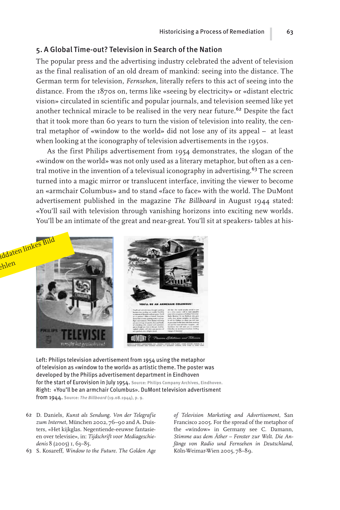## 5. A Global Time-out? Television in Search of the Nation

The popular press and the advertising industry celebrated the advent of television as the final realisation of an old dream of mankind: seeing into the distance. The German term for television, *Fernsehen*, literally refers to this act of seeing into the distance. From the 1870s on, terms like «seeing by electricity» or «distant electric vision» circulated in scientific and popular journals, and television seemed like yet another technical miracle to be realised in the very near future.<sup>62</sup> Despite the fact that it took more than 60 years to turn the vision of television into reality, the central metaphor of «window to the world» did not lose any of its appeal – at least when looking at the iconography of television advertisements in the 1950s.

As the first Philips advertisement from 1954 demonstrates, the slogan of the «window on the world» was not only used as a literary metaphor, but often as a central motive in the invention of a televisual iconography in advertising.<sup>63</sup> The screen turned into a magic mirror or translucent interface, inviting the viewer to become an «armchair Columbus» and to stand «face to face» with the world. The DuMont advertisement published in the magazine *The Billboard* in August 1944 stated: «You'll sail with television through vanishing horizons into exciting new worlds. You'll be an intimate of the great and near-great. You'll sit at speakers› tables at his-



Left: Philips television advertisement from 1954 using the metaphor of television as «window to the world» as artistic theme. The poster was developed by the Philips advertisement department in Eindhoven for the start of Eurovision in July 1954. **Source: Philips Company Archives, Eindhoven.** Right: «You'll be an armchair Columbus». DuMont television advertisment from 1944. **Source:** *The Billboard* **(19.08.1944), p. 9.**

- 62 D. Daniels, *Kunst als Sendung. Von der Telegrafie zum Internet*, München 2002, 76–90 and A. Duisters, «Het kijkglas. Negentiende-eeuwse fantasieën over televisie», in: *Tijdschrift voor Mediageschiedenis* 8 (2005) 1, 63–85.
- 63 S. Kosareff, *Window to the Future. The Golden Age*

*of Television Marketing and Advertisement*, San Francisco 2005. For the spread of the metaphor of the «window» in Germany see C. Damann, *Stimme aus dem Äther – Fenster zur Welt. Die Anfänge von Radio und Fernsehen in Deutschland*, Köln-Weimar-Wien 2005, 78–89.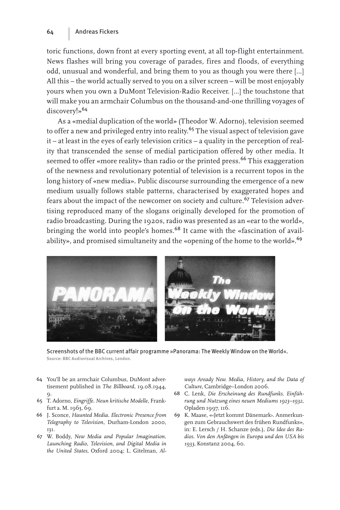toric functions, down front at every sporting event, at all top-flight entertainment. News flashes will bring you coverage of parades, fires and floods, of everything odd, unusual and wonderful, and bring them to you as though you were there […] All this – the world actually served to you on a silver screen – will be most enjoyably yours when you own a DuMont Television-Radio Receiver. […] the touchstone that will make you an armchair Columbus on the thousand-and-one thrilling voyages of discovery!»<sup>64</sup>

As a «medial duplication of the world» (Theodor W. Adorno), television seemed to offer a new and privileged entry into reality.<sup>65</sup> The visual aspect of television gave it – at least in the eyes of early television critics – a quality in the perception of reality that transcended the sense of medial participation offered by other media. It seemed to offer «more reality» than radio or the printed press.<sup>66</sup> This exaggeration of the newness and revolutionary potential of television is a recurrent topos in the long history of «new media». Public discourse surrounding the emergence of a new medium usually follows stable patterns, characterised by exaggerated hopes and fears about the impact of the newcomer on society and culture.<sup>67</sup> Television advertising reproduced many of the slogans originally developed for the promotion of radio broadcasting. During the 1920s, radio was presented as an «ear to the world», bringing the world into people's homes.<sup>68</sup> It came with the «fascination of availability», and promised simultaneity and the «opening of the home to the world».<sup>69</sup>



Screenshots of the BBC current affair programme »Panorama: The Weekly Window on the World«. **Source: BBC Audiovisual Archives, London.**

- 64 You'll be an armchair Columbus, DuMont advertisement published in *The Billboard*, 19.08.1944, 9.
- 65 T. Adorno, *Eingriffe. Neun kritische Modelle*, Frankfurt a. M. 1963, 69.
- 66 J. Sconce, *Haunted Media. Electronic Presence from Telegraphy to Television*, Durham-London 2000, 131.
- 67 W. Boddy, *New Media and Popular Imagination. Launching Radio, Television, and Digital Media in the United States*, Oxford 2004; L. Gitelman, *Al-*

*ways Aready New. Media, History, and the Data of Culture*, Cambridge–London 2006.

- 68 C. Lenk, *Die Erscheinung des Rundfunks. Einführung und Nutzung eines neuen Mediums 1923–1932*, Opladen 1997, 116.
- 69 K. Maase, «‹Jetzt kommt Dänemark›. Anmerkungen zum Gebrauchswert des frühen Rundfunks», in: E. Lersch / H. Schanze (eds.), *Die Idee des Radios. Von den Anfängen in Europa und den USA bis 1933*, Konstanz 2004, 60.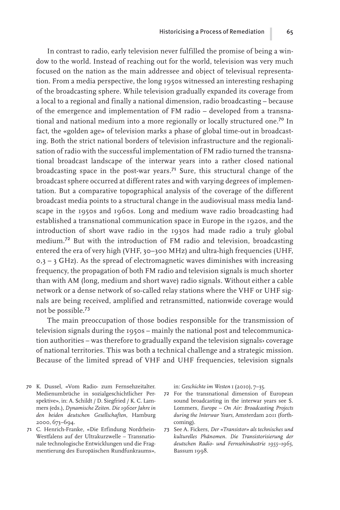In contrast to radio, early television never fulfilled the promise of being a window to the world. Instead of reaching out for the world, television was very much focused on the nation as the main addressee and object of televisual representation. From a media perspective, the long 1950s witnessed an interesting reshaping of the broadcasting sphere. While television gradually expanded its coverage from a local to a regional and finally a national dimension, radio broadcasting – because of the emergence and implementation of FM radio – developed from a transnational and national medium into a more regionally or locally structured one.<sup>70</sup> In fact, the «golden age» of television marks a phase of global time-out in broadcasting. Both the strict national borders of television infrastructure and the regionalisation of radio with the successful implementation of FM radio turned the transnational broadcast landscape of the interwar years into a rather closed national broadcasting space in the post-war years.<sup>71</sup> Sure, this structural change of the broadcast sphere occurred at different rates and with varying degrees of implementation. But a comparative topographical analysis of the coverage of the different broadcast media points to a structural change in the audiovisual mass media landscape in the 1950s and 1960s. Long and medium wave radio broadcasting had established a transnational communication space in Europe in the 1920s, and the introduction of short wave radio in the 1930s had made radio a truly global medium.72 But with the introduction of FM radio and television, broadcasting entered the era of very high (VHF, 30–300 MHz) and ultra-high frequencies (UHF,  $0.3 - 3$  GHz). As the spread of electromagnetic waves diminishes with increasing frequency, the propagation of both FM radio and television signals is much shorter than with AM (long, medium and short wave) radio signals. Without either a cable network or a dense network of so-called relay stations where the VHF or UHF signals are being received, amplified and retransmitted, nationwide coverage would not be possible.<sup>73</sup>

The main preoccupation of those bodies responsible for the transmission of television signals during the 1950s – mainly the national post and telecommunication authorities – was therefore to gradually expand the television signals› coverage of national territories. This was both a technical challenge and a strategic mission. Because of the limited spread of VHF and UHF frequencies, television signals

- 70 K. Dussel, «Vom Radio- zum Fernsehzeitalter. Medienumbrüche in sozialgeschichtlicher Perspektive», in: A. Schildt / D. Siegfried / K. C. Lammers (eds.), *Dynamische Zeiten. Die 1960er Jahre in den beiden deutschen Gesellschaften*, Hamburg 2000, 673–694.
- 71 C. Henrich-Franke, «Die Erfindung Nordrhein-Westfalens auf der Ultrakurzwelle – Transnationale technologische Entwicklungen und die Fragmentierung des Europäischen Rundfunkraums»,

in: *Geschichte im Westen* 1 (2010), 7–35.

- 72 For the transnational dimension of European sound broadcasting in the interwar years see S. Lommers*, Europe – On Air: Broadcasting Projects during the Interwar Years*, Amsterdam 2011 (forthcoming).
- 73 See A. Fickers, *Der «Transistor» als technisches und kulturelles Phänomen. Die Transistorisierung der deutschen Radio- und Fernsehindustrie 1955–1965*, Bassum 1998.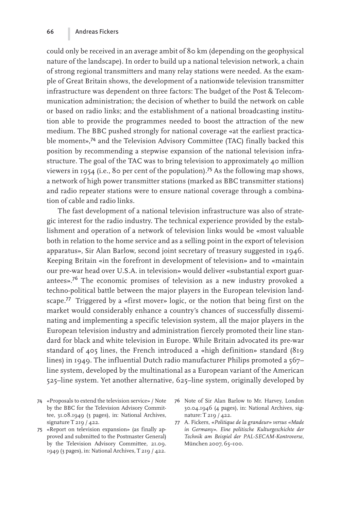could only be received in an average ambit of 80 km (depending on the geophysical nature of the landscape). In order to build up a national television network, a chain of strong regional transmitters and many relay stations were needed. As the example of Great Britain shows, the development of a nationwide television transmitter infrastructure was dependent on three factors: The budget of the Post & Telecommunication administration; the decision of whether to build the network on cable or based on radio links; and the establishment of a national broadcasting institution able to provide the programmes needed to boost the attraction of the new medium. The BBC pushed strongly for national coverage «at the earliest practicable moment»,<sup>74</sup> and the Television Advisory Committee (TAC) finally backed this position by recommending a stepwise expansion of the national television infrastructure. The goal of the TAC was to bring television to approximately 40 million viewers in 1954 (i.e., 80 per cent of the population).75 As the following map shows, a network of high power transmitter stations (marked as BBC transmitter stations) and radio repeater stations were to ensure national coverage through a combination of cable and radio links.

The fast development of a national television infrastructure was also of strategic interest for the radio industry. The technical experience provided by the establishment and operation of a network of television links would be «most valuable both in relation to the home service and as a selling point in the export of television apparatus», Sir Alan Barlow, second joint secretary of treasury suggested in 1946. Keeping Britain «in the forefront in development of television» and to «maintain our pre-war head over U.S.A. in television» would deliver «substantial export guarantees».76 The economic promises of television as a new industry provoked a techno-political battle between the major players in the European television landscape.77 Triggered by a «first mover» logic, or the notion that being first on the market would considerably enhance a country's chances of successfully disseminating and implementing a specific television system, all the major players in the European television industry and administration fiercely promoted their line standard for black and white television in Europe. While Britain advocated its pre-war standard of 405 lines, the French introduced a «high definition» standard (819 lines) in 1949. The influential Dutch radio manufacturer Philips promoted a 567line system, developed by the multinational as a European variant of the American 525–line system. Yet another alternative, 625–line system, originally developed by

74 «Proposals to extend the television service» / Note by the BBC for the Television Advisory Committee, 31.08.1949 (3 pages), in: National Archives, signature T 219 / 422.

<sup>75</sup> «Report on television expansion» (as finally approved and submitted to the Postmaster General) by the Television Advisory Committee, 21.09. 1949 (3 pages), in: National Archives, T 219 / 422.

<sup>76</sup> Note of Sir Alan Barlow to Mr. Harvey, London 30.04.1946 (4 pages), in: National Archives, signature: T 219 / 422.

<sup>77</sup> A. Fickers, *«Politique de la grandeur» versus «Made in Germany». Eine politische Kulturgeschichte der Technik am Beispiel der PAL-SECAM-Kontroverse*, München 2007, 65–100.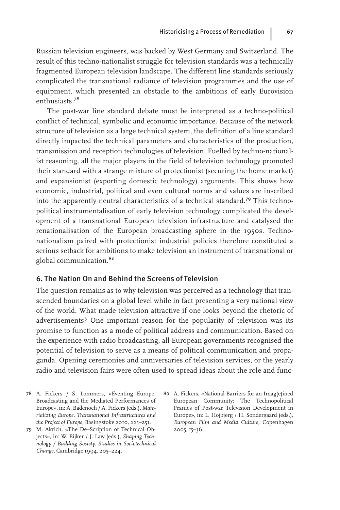Russian television engineers, was backed by West Germany and Switzerland. The result of this techno-nationalist struggle for television standards was a technically fragmented European television landscape. The different line standards seriously complicated the transnational radiance of television programmes and the use of equipment, which presented an obstacle to the ambitions of early Eurovision enthusiasts 78

The post-war line standard debate must be interpreted as a techno-political conflict of technical, symbolic and economic importance. Because of the network structure of television as a large technical system, the definition of a line standard directly impacted the technical parameters and characteristics of the production, transmission and reception technologies of television. Fuelled by techno-nationalist reasoning, all the major players in the field of television technology promoted their standard with a strange mixture of protectionist (securing the home market) and expansionist (exporting domestic technology) arguments. This shows how economic, industrial, political and even cultural norms and values are inscribed into the apparently neutral characteristics of a technical standard.79 This technopolitical instrumentalisation of early television technology complicated the development of a transnational European television infrastructure and catalysed the renationalisation of the European broadcasting sphere in the 1950s. Technonationalism paired with protectionist industrial policies therefore constituted a serious setback for ambitions to make television an instrument of transnational or global communication.<sup>80</sup>

### 6. The Nation On and Behind the Screens of Television

The question remains as to why television was perceived as a technology that transcended boundaries on a global level while in fact presenting a very national view of the world. What made television attractive if one looks beyond the rhetoric of advertisements? One important reason for the popularity of television was its promise to function as a mode of political address and communication. Based on the experience with radio broadcasting, all European governments recognised the potential of television to serve as a means of political communication and propaganda. Opening ceremonies and anniversaries of television services, or the yearly radio and television fairs were often used to spread ideas about the role and func-

- 78 A. Fickers / S. Lommers, «Eventing Europe. Broadcasting and the Mediated Performances of Europe», in: A. Badenoch / A. Fickers (eds.), *Materializing Europe. Transnational Infrastructures and the Project of Europe*, Basingstoke 2010, 225–251.
- 79 M. Akrich, «The De–Scription of Technical Objects», in: W. Bijker / J. Law (eds.), *Shaping Technology / Building Society. Studies in Sociotechnical Change*, Cambridge 1994, 205–224.

80 A. Fickers, «National Barriers for an Imag(e)ined European Community: The Technopolitical Frames of Post-war Television Development in Europe», in: L. Hojbjerg / H. Sondergaard (eds.), *European Film and Media Culture*, Copenhagen 2005, 15–36.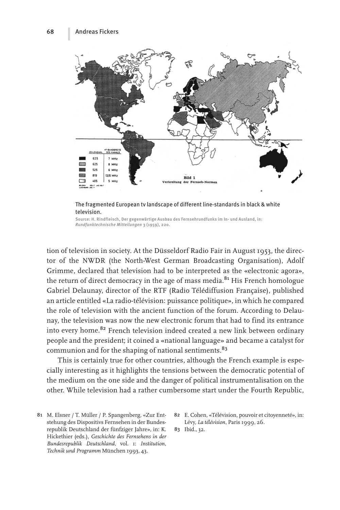

The fragmented European tv landscape of different line-standards in black & white television.

**Source: H. Rindfleisch, Der gegenwärtige Ausbau des Fernsehrundfunks im In- und Ausland, in:**  *Rundfunktechnische Mitteilungen* **3 (1959), 220.**

tion of television in society. At the Düsseldorf Radio Fair in August 1953, the director of the NWDR (the North-West German Broadcasting Organisation), Adolf Grimme, declared that television had to be interpreted as the «electronic agora», the return of direct democracy in the age of mass media.<sup>81</sup> His French homologue Gabriel Delaunay, director of the RTF (Radio Télédiffusion Française), published an article entitled «La radio-télévision: puissance politique», in which he compared the role of television with the ancient function of the forum. According to Delaunay, the television was now the new electronic forum that had to find its entrance into every home.<sup>82</sup> French television indeed created a new link between ordinary people and the president; it coined a «national language» and became a catalyst for communion and for the shaping of national sentiments.<sup>83</sup>

This is certainly true for other countries, although the French example is especially interesting as it highlights the tensions between the democratic potential of the medium on the one side and the danger of political instrumentalisation on the other. While television had a rather cumbersome start under the Fourth Republic,

<sup>81</sup> M. Elsner / T. Müller / P. Spangenberg, «Zur Entstehung des Dispositivs Fernsehen in der Bundesrepublik Deutschland der fünfziger Jahre», in: K. Hickethier (eds.), *Geschichte des Fernsehens in der Bundesrepublik Deutschland*, vol. 1: *Institution, Technik und Programm* München 1993, 43.

<sup>82</sup> E. Cohen, «Télévision, pouvoir et citoyenneté», in: Lévy, *La télévision*, Paris 1999, 26.

<sup>83</sup> Ibid., 32.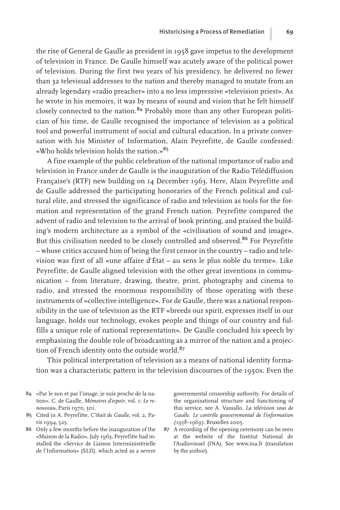the rise of General de Gaulle as president in 1958 gave impetus to the development of television in France. De Gaulle himself was acutely aware of the political power of television. During the first two years of his presidency, he delivered no fewer than 32 televisual addresses to the nation and thereby managed to mutate from an already legendary «radio preacher» into a no less impressive «television priest». As he wrote in his memoirs, it was by means of sound and vision that he felt himself closely connected to the nation.<sup>84</sup> Probably more than any other European politician of his time, de Gaulle recognised the importance of television as a political tool and powerful instrument of social and cultural education. In a private conversation with his Minister of Information, Alain Peyrefitte, de Gaulle confessed: «Who holds television holds the nation.» $85$ 

A fine example of the public celebration of the national importance of radio and television in France under de Gaulle is the inauguration of the Radio Télédiffusion Française's (RTF) new building on 14 December 1963. Here, Alain Peyrefitte and de Gaulle addressed the participating honoraries of the French political and cultural elite, and stressed the significance of radio and television as tools for the formation and representation of the grand French nation. Peyrefitte compared the advent of radio and television to the arrival of book printing, and praised the building's modern architecture as a symbol of the «civilisation of sound and image». But this civilisation needed to be closely controlled and observed.<sup>86</sup> For Peyrefitte – whose critics accused him of being the first censor in the country – radio and television was first of all «une affaire d'État – au sens le plus noble du terme». Like Peyrefitte, de Gaulle aligned television with the other great inventions in communication – from literature, drawing, theatre, print, photography and cinema to radio, and stressed the enormous responsibility of those operating with these instruments of «collective intelligence». For de Gaulle, there was a national responsibility in the use of television as the RTF «breeds our spirit, expresses itself in our language, holds our technology, evokes people and things of our country and fulfills a unique role of national representation». De Gaulle concluded his speech by emphasising the double role of broadcasting as a mirror of the nation and a projection of French identity onto the outside world.<sup>87</sup>

This political interpretation of television as a means of national identity formation was a characteristic pattern in the television discourses of the 1950s. Even the

84 «Par le son et par l'image, je suis proche de la nation». C. de Gaulle, *Mémoires d'espoir*, vol. 1: *Le renouveau*, Paris 1970, 301.

governmental censorship authority. For details of the organisational structure and functioning of this service, see A. Vassallo, *La télévision sous de Gaulle. Le contrôle gouvernmental de l'information (1958–1969)*, Bruxelles 2005.

87 A recording of the opening ceremony can be seen at the website of the Institut National de l'Audiovisuel (INA). See www.ina.fr (translation by the author).

<sup>85</sup> Cited in A. Peyrefitte, *C'était de Gaulle*, vol. 2, Paris 1994, 525.

<sup>86</sup> Only a few months before the inauguration of the «Maison de la Radio», July 1963, Peyrefitte had installed the «Service de Liaison Interministérielle de l'Information» (SLII), which acted as a severe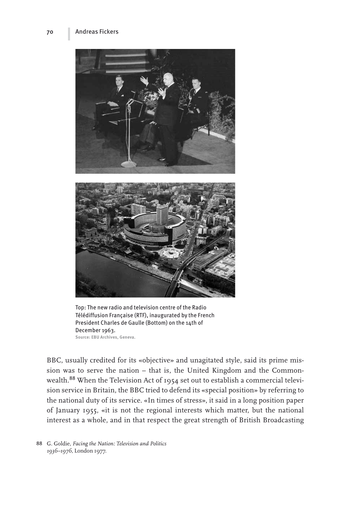

Top: The new radio and television centre of the Radio Télédiffusion Française (RTF), inaugurated by the French President Charles de Gaulle (Bottom) on the 14th of December 1963. **Source: EBU Archives, Geneva.** 

BBC, usually credited for its «objective» and unagitated style, said its prime mission was to serve the nation – that is, the United Kingdom and the Commonwealth.<sup>88</sup> When the Television Act of 1954 set out to establish a commercial television service in Britain, the BBC tried to defend its «special position» by referring to the national duty of its service. «In times of stress», it said in a long position paper of January 1955, «it is not the regional interests which matter, but the national interest as a whole, and in that respect the great strength of British Broadcasting

<sup>88</sup> G. Goldie, *Facing the Nation: Television and Politics 1936–1976*, London 1977.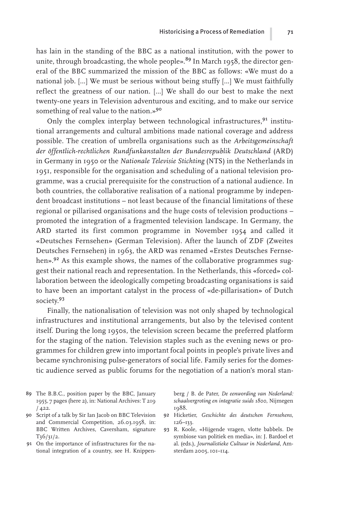has lain in the standing of the BBC as a national institution, with the power to unite, through broadcasting, the whole people».<sup>89</sup> In March 1958, the director general of the BBC summarized the mission of the BBC as follows: «We must do a national job. […] We must be serious without being stuffy […] We must faithfully reflect the greatness of our nation. […] We shall do our best to make the next twenty-one years in Television adventurous and exciting, and to make our service something of real value to the nation.»<sup>90</sup>

Only the complex interplay between technological infrastructures,  $91$  institutional arrangements and cultural ambitions made national coverage and address possible. The creation of umbrella organisations such as the *Arbeitsgemeinschaft der öffentlich-rechtlichen Rundfunkanstalten der Bundesrepublik Deutschland* (ARD) in Germany in 1950 or the *Nationale Televisie Stichting* (NTS) in the Netherlands in 1951, responsible for the organisation and scheduling of a national television programme, was a crucial prerequisite for the construction of a national audience. In both countries, the collaborative realisation of a national programme by independent broadcast institutions – not least because of the financial limitations of these regional or pillarised organisations and the huge costs of television productions – promoted the integration of a fragmented television landscape. In Germany, the ARD started its first common programme in November 1954 and called it «Deutsches Fernsehen» (German Television). After the launch of ZDF (Zweites Deutsches Fernsehen) in 1963, the ARD was renamed «Erstes Deutsches Fernsehen».<sup>92</sup> As this example shows, the names of the collaborative programmes suggest their national reach and representation. In the Netherlands, this «forced» collaboration between the ideologically competing broadcasting organisations is said to have been an important catalyst in the process of «de-pillarisation» of Dutch society.<sup>93</sup>

Finally, the nationalisation of television was not only shaped by technological infrastructures and institutional arrangements, but also by the televised content itself. During the long 1950s, the television screen became the preferred platform for the staging of the nation. Television staples such as the evening news or programmes for children grew into important focal points in people's private lives and became synchronising pulse-generators of social life. Family series for the domestic audience served as public forums for the negotiation of a nation's moral stan-

- 89 The B.B.C., position paper by the BBC, January 1955, 7 pages (here 2), in: National Archives: T 219 / 422.
- 90 Script of a talk by Sir Ian Jacob on BBC Television and Commercial Competition, 26.03.1958, in: BBC Written Archives, Caversham, signature T36/31/2.
- 91 On the importance of infrastructures for the national integration of a country, see H. Knippen-

berg / B. de Pater, *De eenwording van Nederland: schaalvergroting en integratie suids 1800*, Nijmegen 1988.

- 92 Hicketier, *Geschichte des deutschen Fernsehens*, 126–133.
- 93 R. Koole, «Hijgende vragen, vlotte babbels. De symbiose van politiek en media», in: J. Bardoel et al. (eds.), *Journalistieke Cultuur in Nederland*, Amsterdam 2005, 101–114.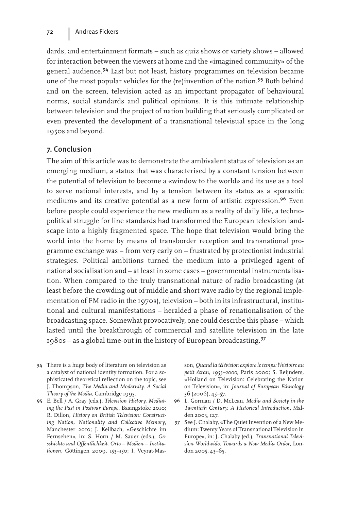dards, and entertainment formats – such as quiz shows or variety shows – allowed for interaction between the viewers at home and the «imagined community» of the general audience.94 Last but not least, history programmes on television became one of the most popular vehicles for the (re)invention of the nation.<sup>95</sup> Both behind and on the screen, television acted as an important propagator of behavioural norms, social standards and political opinions. It is this intimate relationship between television and the project of nation building that seriously complicated or even prevented the development of a transnational televisual space in the long 1950s and beyond.

#### 7. Conclusion

The aim of this article was to demonstrate the ambivalent status of television as an emerging medium, a status that was characterised by a constant tension between the potential of television to become a «window to the world» and its use as a tool to serve national interests, and by a tension between its status as a «parasitic medium» and its creative potential as a new form of artistic expression.<sup>96</sup> Even before people could experience the new medium as a reality of daily life, a technopolitical struggle for line standards had transformed the European television landscape into a highly fragmented space. The hope that television would bring the world into the home by means of transborder reception and transnational programme exchange was – from very early on – frustrated by protectionist industrial strategies. Political ambitions turned the medium into a privileged agent of national socialisation and – at least in some cases – governmental instrumentalisation. When compared to the truly transnational nature of radio broadcasting (at least before the crowding out of middle and short wave radio by the regional implementation of FM radio in the 1970s), television – both in its infrastructural, institutional and cultural manifestations – heralded a phase of renationalisation of the broadcasting space. Somewhat provocatively, one could describe this phase – which lasted until the breakthrough of commercial and satellite television in the late 1980s – as a global time-out in the history of European broadcasting.<sup>97</sup>

- 94 There is a huge body of literature on television as a catalyst of national identity formation. For a sophisticated theoretical reflection on the topic, see J. Thompson, *The Media and Modernity. A Social Theory of the Media*, Cambridge 1995.
- 95 E. Bell / A. Gray (eds.), *Television History. Mediating the Past in Postwar Europe*, Basingstoke 2010; R. Dillon, *History on British Television: Constructing Nation, Nationality and Collective Memory*, Manchester 2010; J. Keilbach, «Geschichte im Fernsehen», in: S. Horn / M. Sauer (eds.), *Geschichte und Öffentlichkeit. Orte – Medien – Institutionen*, Göttingen 2009, 153–150; I. Veyrat-Mas-

son, *Quand la télévision explore le temps: l'histoire au petit écran, 1953–2000*, Paris 2000; S. Reijnders, «Holland on Television: Celebrating the Nation on Television», in: *Journal of European Ethnology*  36 (2006), 45–57.

96 L. Gorman / D. McLean, *Media and Society in the Twentieth Century. A Historical Introduction*, Malden 2003, 127.

97 See J. Chalaby, «The Quiet Invention of a New Medium: Twenty Years of Transnational Television in Europe», in: J. Chalaby (ed.), *Transnational Television Worldwide. Towards a New Media Order*, London 2005, 43–65.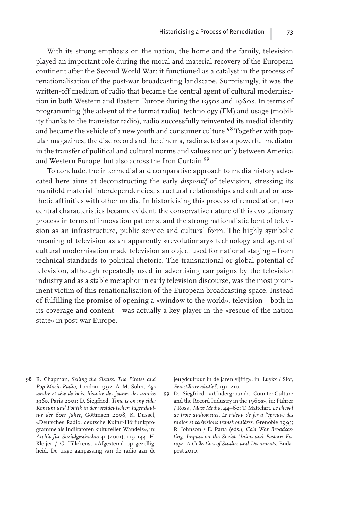With its strong emphasis on the nation, the home and the family, television played an important role during the moral and material recovery of the European continent after the Second World War: it functioned as a catalyst in the process of renationalisation of the post-war broadcasting landscape. Surprisingly, it was the written-off medium of radio that became the central agent of cultural modernisation in both Western and Eastern Europe during the 1950s and 1960s. In terms of programming (the advent of the format radio), technology (FM) and usage (mobility thanks to the transistor radio), radio successfully reinvented its medial identity and became the vehicle of a new youth and consumer culture.<sup>98</sup> Together with popular magazines, the disc record and the cinema, radio acted as a powerful mediator in the transfer of political and cultural norms and values not only between America and Western Europe, but also across the Iron Curtain.<sup>99</sup>

To conclude, the intermedial and comparative approach to media history advocated here aims at deconstructing the early *dispositif* of television, stressing its manifold material interdependencies, structural relationships and cultural or aesthetic affinities with other media. In historicising this process of remediation, two central characteristics became evident: the conservative nature of this evolutionary process in terms of innovation patterns, and the strong nationalistic bent of television as an infrastructure, public service and cultural form. The highly symbolic meaning of television as an apparently «revolutionary» technology and agent of cultural modernisation made television an object used for national staging – from technical standards to political rhetoric. The transnational or global potential of television, although repeatedly used in advertising campaigns by the television industry and as a stable metaphor in early television discourse, was the most prominent victim of this renationalisation of the European broadcasting space. Instead of fulfilling the promise of opening a «window to the world», television – both in its coverage and content – was actually a key player in the «rescue of the nation state» in post-war Europe.

98 R. Chapman, *Selling the Sixties. The Pirates and Pop-Music Radio*, London 1992; A.-M. Sohn, *Âge tendre et tête de bois: histoire des jeunes des années 1960*, Paris 2001; D. Siegfried, *Time is on my side: Konsum und Politik in der westdeutschen Jugendkultur der 60er Jahre*, Göttingen 2008; K. Dussel, «Deutsches Radio, deutsche Kultur-Hörfunkprogramme als Indikatoren kulturellen Wandels», in: *Archiv für Sozialgeschichte* 41 (2001), 119–144; H. Kleijer / G. Tillekens, «Afgestemd op gezelligheid. De trage aanpassing van de radio aan de

jeugdcultuur in de jaren vijftig», in: Luykx / Slot, *Een stille revolutie?,* 191–210.

99 D. Siegfried, «‹Underground›: Counter-Culture and the Record Industry in the 1960s», in: Führer / Ross , *Mass Media*, 44–60; T. Mattelart, *Le cheval de troie audiovisuel. Le rideau de fer à l'épreuve des radios et télévisions transfrontières*, Grenoble 1995; R. Johnson / E. Parta (eds.), *Cold War Broadcasting. Impact on the Soviet Union and Eastern Europe. A Collection of Studies and Documents*, Budapest 2010.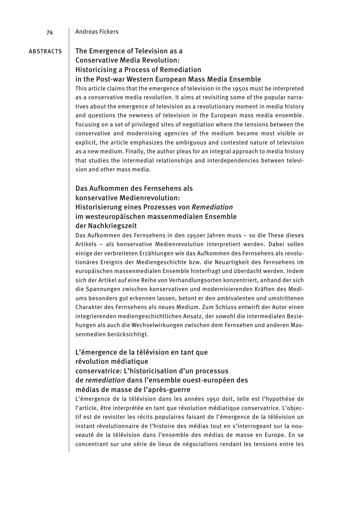#### 74 Andreas Fickers

#### **ARSTRACTS**

# The Emergence of Television as a Conservative Media Revolution: Historicising a Process of Remediation in the Post-war Western European Mass Media Ensemble

This article claims that the emergence of television in the 1950s must be interpreted as a conservative media revolution. It aims at revisiting some of the popular narratives about the emergence of television as a revolutionary moment in media history and questions the newness of television in the European mass media ensemble. Focusing on a set of privileged sites of negotiation where the tensions between the conservative and modernising agencies of the medium became most visible or explicit, the article emphasizes the ambiguous and contested nature of television as a new medium. Finally, the author pleas for an integral approach to media history that studies the intermedial relationships and interdependencies between television and other mass media.

## Das Aufkommen des Fernsehens als konservative Medienrevolution: Historisierung eines Prozesses von *Remediation*  im westeuropäischen massenmedialen Ensemble der Nachkriegszeit

Das Aufkommen des Fernsehens in den 1950er Jahren muss – so die These dieses Artikels – als konservative Medienrevolution interpretiert werden. Dabei sollen einige der verbreiteten Erzählungen wie das Aufkommen des Fernsehens als revolutionäres Ereignis der Mediengeschichte bzw. die Neuartigkeit des Fernsehens im europäischen massenmedialen Ensemble hinterfragt und überdacht werden. Indem sich der Artikel auf eine Reihe von Verhandlungsorten konzentriert, anhand der sich die Spannungen zwischen konservativen und modernisierenden Kräften des Mediums besonders gut erkennen lassen, betont er den ambivalenten und umstrittenen Charakter des Fernsehens als neues Medium. Zum Schluss entwirft der Autor einen integrierenden mediengeschichtlichen Ansatz, der sowohl die intermedialen Beziehungen als auch die Wechselwirkungen zwischen dem Fernsehen und anderen Massenmedien berücksichtigt.

## L'émergence de la télévision en tant que révolution médiatique conservatrice: L'historicisation d'un processus de *remediation* dans l'ensemble ouest-européen des médias de masse de l'après-guerre

L'émergence de la télévision dans les années 1950 doit, telle est l'hypothèse de l'article, être interprétée en tant que révolution médiatique conservatrice. L'objectif est de revisiter les récits populaires faisant de l'émergence de la télévision un instant révolutionnaire de l'histoire des médias tout en s'interrogeant sur la nouveauté de la télévision dans l'ensemble des médias de masse en Europe. En se concentrant sur une série de lieux de négociations rendant les tensions entre les